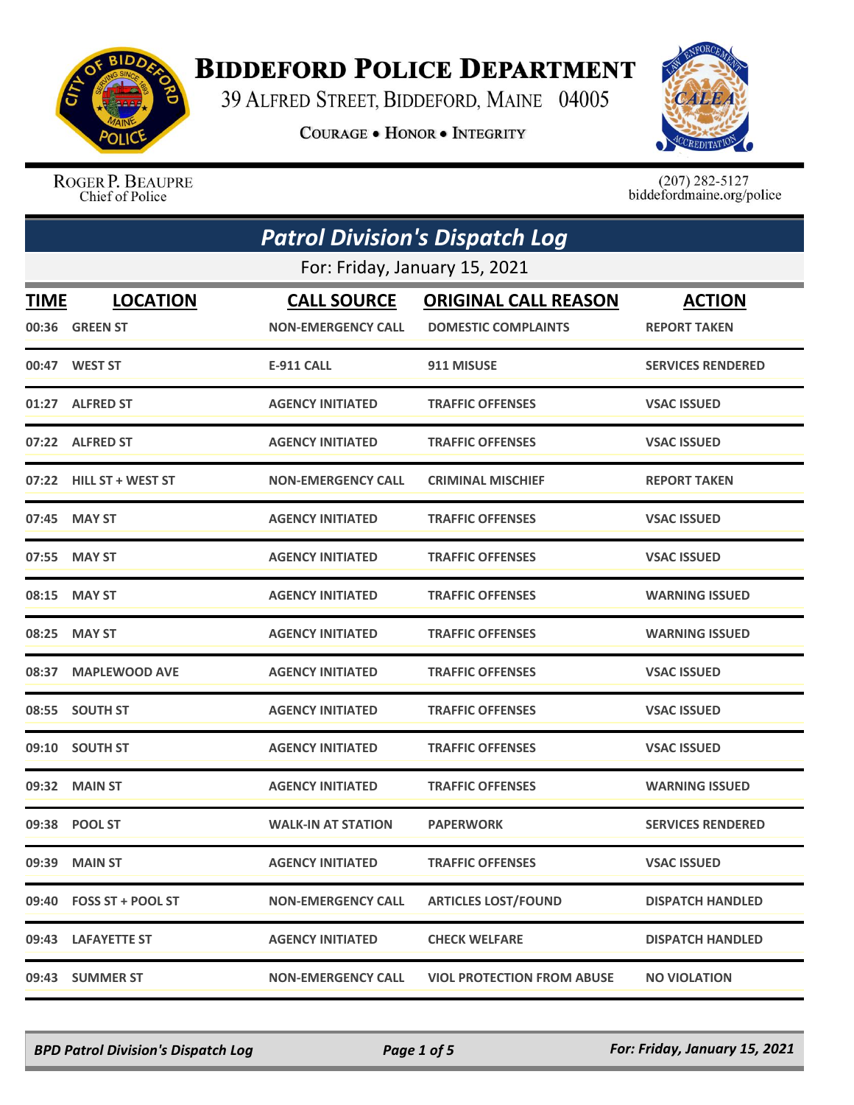

## **BIDDEFORD POLICE DEPARTMENT**

39 ALFRED STREET, BIDDEFORD, MAINE 04005

**COURAGE . HONOR . INTEGRITY** 



ROGER P. BEAUPRE Chief of Police

 $(207)$  282-5127<br>biddefordmaine.org/police

|                               | <b>Patrol Division's Dispatch Log</b> |                           |                                   |                          |  |
|-------------------------------|---------------------------------------|---------------------------|-----------------------------------|--------------------------|--|
| For: Friday, January 15, 2021 |                                       |                           |                                   |                          |  |
| TIME                          | <b>LOCATION</b>                       | <b>CALL SOURCE</b>        | <b>ORIGINAL CALL REASON</b>       | <b>ACTION</b>            |  |
|                               | 00:36 GREEN ST                        | <b>NON-EMERGENCY CALL</b> | <b>DOMESTIC COMPLAINTS</b>        | <b>REPORT TAKEN</b>      |  |
|                               | 00:47 WEST ST                         | <b>E-911 CALL</b>         | 911 MISUSE                        | <b>SERVICES RENDERED</b> |  |
|                               | 01:27 ALFRED ST                       | <b>AGENCY INITIATED</b>   | <b>TRAFFIC OFFENSES</b>           | <b>VSAC ISSUED</b>       |  |
|                               | 07:22 ALFRED ST                       | <b>AGENCY INITIATED</b>   | <b>TRAFFIC OFFENSES</b>           | <b>VSAC ISSUED</b>       |  |
|                               | 07:22 HILL ST + WEST ST               | <b>NON-EMERGENCY CALL</b> | <b>CRIMINAL MISCHIEF</b>          | <b>REPORT TAKEN</b>      |  |
|                               | 07:45 MAY ST                          | <b>AGENCY INITIATED</b>   | <b>TRAFFIC OFFENSES</b>           | <b>VSAC ISSUED</b>       |  |
|                               | 07:55 MAY ST                          | <b>AGENCY INITIATED</b>   | <b>TRAFFIC OFFENSES</b>           | <b>VSAC ISSUED</b>       |  |
|                               | 08:15 MAY ST                          | <b>AGENCY INITIATED</b>   | <b>TRAFFIC OFFENSES</b>           | <b>WARNING ISSUED</b>    |  |
| 08:25                         | <b>MAY ST</b>                         | <b>AGENCY INITIATED</b>   | <b>TRAFFIC OFFENSES</b>           | <b>WARNING ISSUED</b>    |  |
|                               | 08:37 MAPLEWOOD AVE                   | <b>AGENCY INITIATED</b>   | <b>TRAFFIC OFFENSES</b>           | <b>VSAC ISSUED</b>       |  |
|                               | 08:55 SOUTH ST                        | <b>AGENCY INITIATED</b>   | <b>TRAFFIC OFFENSES</b>           | <b>VSAC ISSUED</b>       |  |
| 09:10                         | <b>SOUTH ST</b>                       | <b>AGENCY INITIATED</b>   | <b>TRAFFIC OFFENSES</b>           | <b>VSAC ISSUED</b>       |  |
|                               | 09:32 MAIN ST                         | <b>AGENCY INITIATED</b>   | <b>TRAFFIC OFFENSES</b>           | <b>WARNING ISSUED</b>    |  |
|                               | 09:38 POOL ST                         | <b>WALK-IN AT STATION</b> | <b>PAPERWORK</b>                  | <b>SERVICES RENDERED</b> |  |
|                               | 09:39 MAIN ST                         | <b>AGENCY INITIATED</b>   | <b>TRAFFIC OFFENSES</b>           | <b>VSAC ISSUED</b>       |  |
|                               | 09:40 FOSS ST + POOL ST               | <b>NON-EMERGENCY CALL</b> | <b>ARTICLES LOST/FOUND</b>        | <b>DISPATCH HANDLED</b>  |  |
|                               | 09:43 LAFAYETTE ST                    | <b>AGENCY INITIATED</b>   | <b>CHECK WELFARE</b>              | <b>DISPATCH HANDLED</b>  |  |
|                               | 09:43 SUMMER ST                       | <b>NON-EMERGENCY CALL</b> | <b>VIOL PROTECTION FROM ABUSE</b> | <b>NO VIOLATION</b>      |  |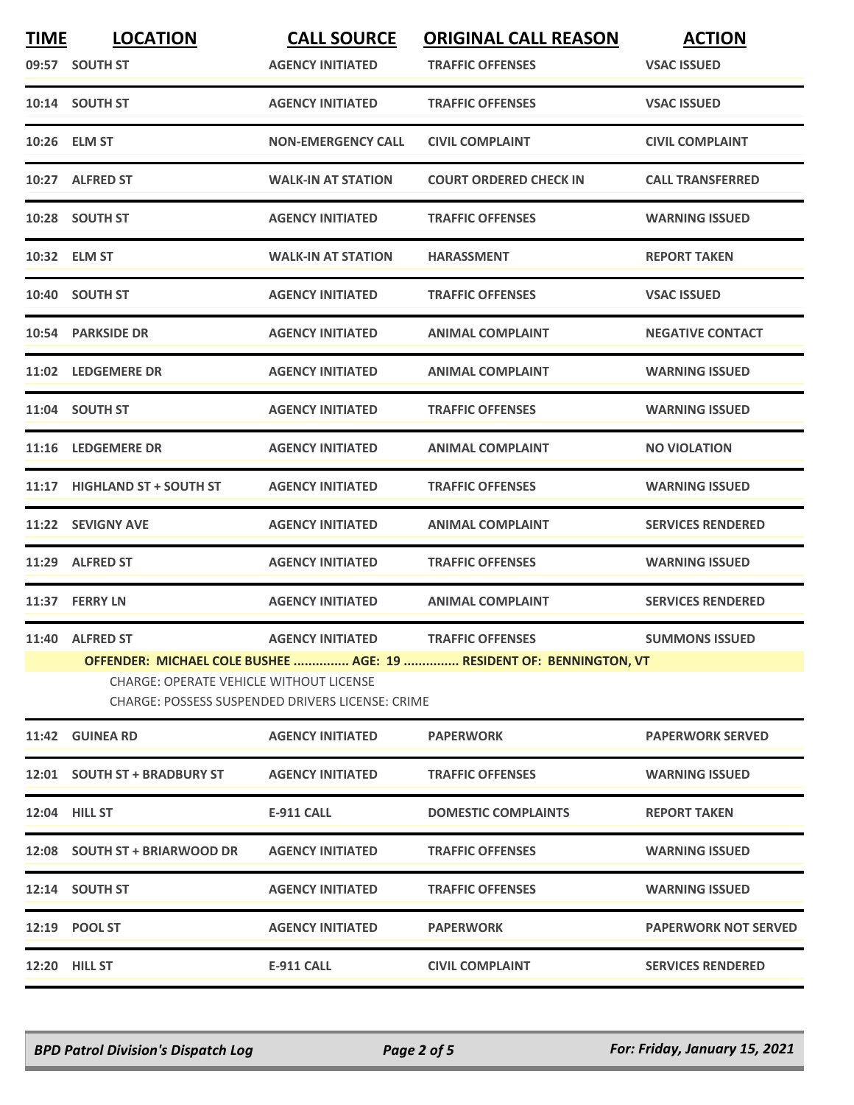| <b>TIME</b> | <b>LOCATION</b>                                                                                                                                                           | <b>CALL SOURCE</b>        | <b>ORIGINAL CALL REASON</b>   | <b>ACTION</b>               |
|-------------|---------------------------------------------------------------------------------------------------------------------------------------------------------------------------|---------------------------|-------------------------------|-----------------------------|
|             | 09:57 SOUTH ST                                                                                                                                                            | <b>AGENCY INITIATED</b>   | <b>TRAFFIC OFFENSES</b>       | <b>VSAC ISSUED</b>          |
|             | 10:14 SOUTH ST                                                                                                                                                            | <b>AGENCY INITIATED</b>   | <b>TRAFFIC OFFENSES</b>       | <b>VSAC ISSUED</b>          |
|             | 10:26 ELM ST                                                                                                                                                              | <b>NON-EMERGENCY CALL</b> | <b>CIVIL COMPLAINT</b>        | <b>CIVIL COMPLAINT</b>      |
|             | 10:27 ALFRED ST                                                                                                                                                           | <b>WALK-IN AT STATION</b> | <b>COURT ORDERED CHECK IN</b> | <b>CALL TRANSFERRED</b>     |
|             | 10:28 SOUTH ST                                                                                                                                                            | <b>AGENCY INITIATED</b>   | <b>TRAFFIC OFFENSES</b>       | <b>WARNING ISSUED</b>       |
|             | 10:32 ELM ST                                                                                                                                                              | <b>WALK-IN AT STATION</b> | <b>HARASSMENT</b>             | <b>REPORT TAKEN</b>         |
|             | 10:40 SOUTH ST                                                                                                                                                            | <b>AGENCY INITIATED</b>   | <b>TRAFFIC OFFENSES</b>       | <b>VSAC ISSUED</b>          |
|             | 10:54 PARKSIDE DR                                                                                                                                                         | <b>AGENCY INITIATED</b>   | <b>ANIMAL COMPLAINT</b>       | <b>NEGATIVE CONTACT</b>     |
|             | 11:02 LEDGEMERE DR                                                                                                                                                        | <b>AGENCY INITIATED</b>   | <b>ANIMAL COMPLAINT</b>       | <b>WARNING ISSUED</b>       |
|             | 11:04 SOUTH ST                                                                                                                                                            | <b>AGENCY INITIATED</b>   | <b>TRAFFIC OFFENSES</b>       | <b>WARNING ISSUED</b>       |
|             | 11:16 LEDGEMERE DR                                                                                                                                                        | <b>AGENCY INITIATED</b>   | <b>ANIMAL COMPLAINT</b>       | <b>NO VIOLATION</b>         |
|             | 11:17 HIGHLAND ST + SOUTH ST                                                                                                                                              | <b>AGENCY INITIATED</b>   | <b>TRAFFIC OFFENSES</b>       | <b>WARNING ISSUED</b>       |
|             | 11:22 SEVIGNY AVE                                                                                                                                                         | <b>AGENCY INITIATED</b>   | <b>ANIMAL COMPLAINT</b>       | <b>SERVICES RENDERED</b>    |
|             | 11:29 ALFRED ST                                                                                                                                                           | <b>AGENCY INITIATED</b>   | <b>TRAFFIC OFFENSES</b>       | <b>WARNING ISSUED</b>       |
|             | 11:37 FERRY LN                                                                                                                                                            | <b>AGENCY INITIATED</b>   | <b>ANIMAL COMPLAINT</b>       | <b>SERVICES RENDERED</b>    |
|             | 11:40 ALFRED ST                                                                                                                                                           | <b>AGENCY INITIATED</b>   | <b>TRAFFIC OFFENSES</b>       | <b>SUMMONS ISSUED</b>       |
|             | OFFENDER: MICHAEL COLE BUSHEE  AGE: 19  RESIDENT OF: BENNINGTON, VT<br><b>CHARGE: OPERATE VEHICLE WITHOUT LICENSE</b><br>CHARGE: POSSESS SUSPENDED DRIVERS LICENSE: CRIME |                           |                               |                             |
|             | 11:42 GUINEA RD                                                                                                                                                           | <b>AGENCY INITIATED</b>   | <b>PAPERWORK</b>              | <b>PAPERWORK SERVED</b>     |
|             | 12:01 SOUTH ST + BRADBURY ST                                                                                                                                              | <b>AGENCY INITIATED</b>   | <b>TRAFFIC OFFENSES</b>       | <b>WARNING ISSUED</b>       |
|             | 12:04 HILL ST                                                                                                                                                             | <b>E-911 CALL</b>         | <b>DOMESTIC COMPLAINTS</b>    | <b>REPORT TAKEN</b>         |
|             | 12:08 SOUTH ST + BRIARWOOD DR                                                                                                                                             | <b>AGENCY INITIATED</b>   | <b>TRAFFIC OFFENSES</b>       | <b>WARNING ISSUED</b>       |
|             | 12:14 SOUTH ST                                                                                                                                                            | <b>AGENCY INITIATED</b>   | <b>TRAFFIC OFFENSES</b>       | <b>WARNING ISSUED</b>       |
|             | 12:19 POOL ST                                                                                                                                                             | <b>AGENCY INITIATED</b>   | <b>PAPERWORK</b>              | <b>PAPERWORK NOT SERVED</b> |
|             | <b>12:20 HILL ST</b>                                                                                                                                                      | <b>E-911 CALL</b>         | <b>CIVIL COMPLAINT</b>        | <b>SERVICES RENDERED</b>    |
|             |                                                                                                                                                                           |                           |                               |                             |

*BPD Patrol Division's Dispatch Log Page 2 of 5 For: Friday, January 15, 2021*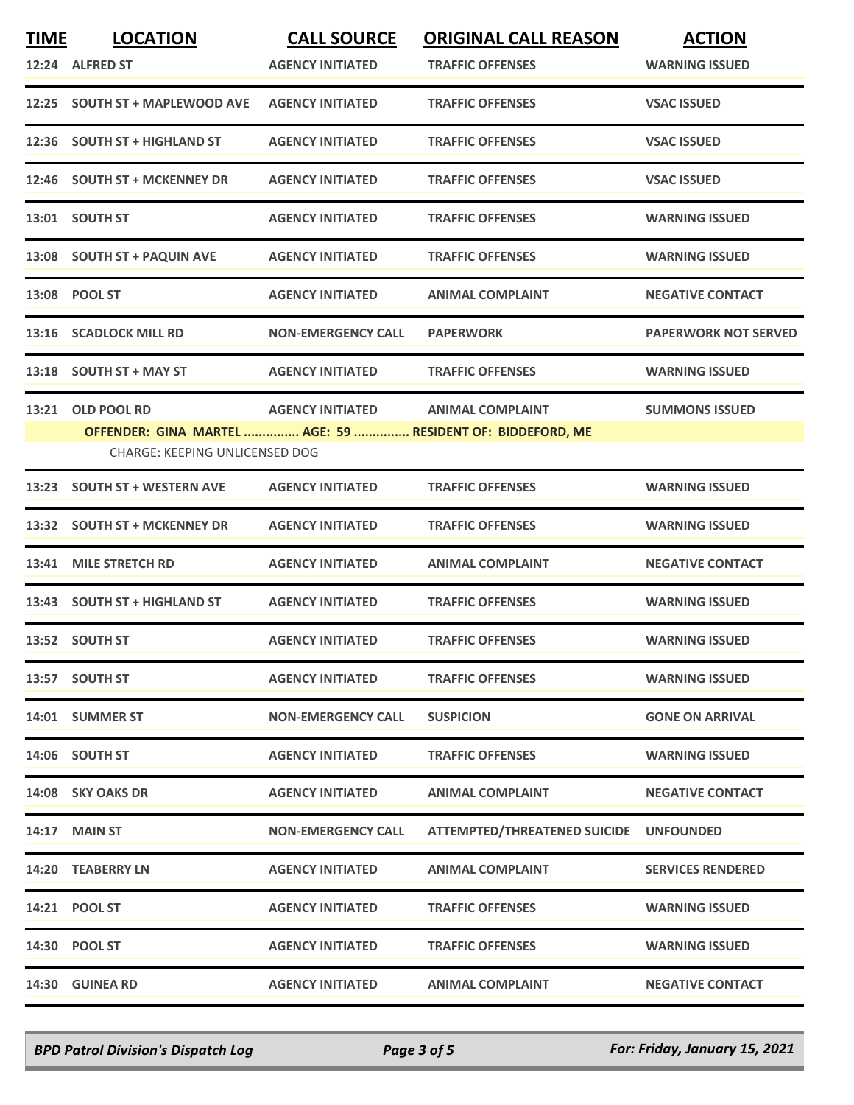| <b>TIME</b> | <b>LOCATION</b>                       | <b>CALL SOURCE</b>        | <b>ORIGINAL CALL REASON</b>                                | <b>ACTION</b>               |
|-------------|---------------------------------------|---------------------------|------------------------------------------------------------|-----------------------------|
|             | 12:24 ALFRED ST                       | <b>AGENCY INITIATED</b>   | <b>TRAFFIC OFFENSES</b>                                    | <b>WARNING ISSUED</b>       |
|             | 12:25 SOUTH ST + MAPLEWOOD AVE        | <b>AGENCY INITIATED</b>   | <b>TRAFFIC OFFENSES</b>                                    | <b>VSAC ISSUED</b>          |
|             | 12:36 SOUTH ST + HIGHLAND ST          | <b>AGENCY INITIATED</b>   | <b>TRAFFIC OFFENSES</b>                                    | <b>VSAC ISSUED</b>          |
|             | 12:46 SOUTH ST + MCKENNEY DR          | <b>AGENCY INITIATED</b>   | <b>TRAFFIC OFFENSES</b>                                    | <b>VSAC ISSUED</b>          |
|             | 13:01 SOUTH ST                        | <b>AGENCY INITIATED</b>   | <b>TRAFFIC OFFENSES</b>                                    | <b>WARNING ISSUED</b>       |
|             | 13:08 SOUTH ST + PAQUIN AVE           | <b>AGENCY INITIATED</b>   | <b>TRAFFIC OFFENSES</b>                                    | <b>WARNING ISSUED</b>       |
|             | 13:08 POOL ST                         | <b>AGENCY INITIATED</b>   | <b>ANIMAL COMPLAINT</b>                                    | <b>NEGATIVE CONTACT</b>     |
|             | 13:16 SCADLOCK MILL RD                | <b>NON-EMERGENCY CALL</b> | <b>PAPERWORK</b>                                           | <b>PAPERWORK NOT SERVED</b> |
|             | 13:18 SOUTH ST + MAY ST               | <b>AGENCY INITIATED</b>   | <b>TRAFFIC OFFENSES</b>                                    | <b>WARNING ISSUED</b>       |
|             | 13:21 OLD POOL RD                     | <b>AGENCY INITIATED</b>   | <b>ANIMAL COMPLAINT</b>                                    | <b>SUMMONS ISSUED</b>       |
|             |                                       |                           | OFFENDER: GINA MARTEL  AGE: 59  RESIDENT OF: BIDDEFORD, ME |                             |
|             | <b>CHARGE: KEEPING UNLICENSED DOG</b> |                           |                                                            |                             |
| 13:23       | <b>SOUTH ST + WESTERN AVE</b>         | <b>AGENCY INITIATED</b>   | <b>TRAFFIC OFFENSES</b>                                    | <b>WARNING ISSUED</b>       |
|             | 13:32 SOUTH ST + MCKENNEY DR          | <b>AGENCY INITIATED</b>   | <b>TRAFFIC OFFENSES</b>                                    | <b>WARNING ISSUED</b>       |
|             | 13:41 MILE STRETCH RD                 | <b>AGENCY INITIATED</b>   | <b>ANIMAL COMPLAINT</b>                                    | <b>NEGATIVE CONTACT</b>     |
|             | 13:43 SOUTH ST + HIGHLAND ST          | <b>AGENCY INITIATED</b>   | <b>TRAFFIC OFFENSES</b>                                    | <b>WARNING ISSUED</b>       |
|             | 13:52 SOUTH ST                        | <b>AGENCY INITIATED</b>   | <b>TRAFFIC OFFENSES</b>                                    | <b>WARNING ISSUED</b>       |
|             | 13:57 SOUTH ST                        | <b>AGENCY INITIATED</b>   | <b>TRAFFIC OFFENSES</b>                                    | <b>WARNING ISSUED</b>       |
|             | 14:01 SUMMER ST                       | <b>NON-EMERGENCY CALL</b> | <b>SUSPICION</b>                                           | <b>GONE ON ARRIVAL</b>      |
|             | 14:06 SOUTH ST                        | <b>AGENCY INITIATED</b>   | <b>TRAFFIC OFFENSES</b>                                    | <b>WARNING ISSUED</b>       |
|             | 14:08 SKY OAKS DR                     | <b>AGENCY INITIATED</b>   | <b>ANIMAL COMPLAINT</b>                                    | <b>NEGATIVE CONTACT</b>     |
|             | <b>14:17 MAIN ST</b>                  | <b>NON-EMERGENCY CALL</b> | <b>ATTEMPTED/THREATENED SUICIDE</b>                        | <b>UNFOUNDED</b>            |
|             | 14:20 TEABERRY LN                     | <b>AGENCY INITIATED</b>   | <b>ANIMAL COMPLAINT</b>                                    | <b>SERVICES RENDERED</b>    |
|             | 14:21 POOL ST                         | <b>AGENCY INITIATED</b>   | <b>TRAFFIC OFFENSES</b>                                    | <b>WARNING ISSUED</b>       |
|             | 14:30 POOL ST                         | <b>AGENCY INITIATED</b>   | <b>TRAFFIC OFFENSES</b>                                    | <b>WARNING ISSUED</b>       |
|             | 14:30 GUINEA RD                       | <b>AGENCY INITIATED</b>   | <b>ANIMAL COMPLAINT</b>                                    | <b>NEGATIVE CONTACT</b>     |

*BPD Patrol Division's Dispatch Log Page 3 of 5 For: Friday, January 15, 2021*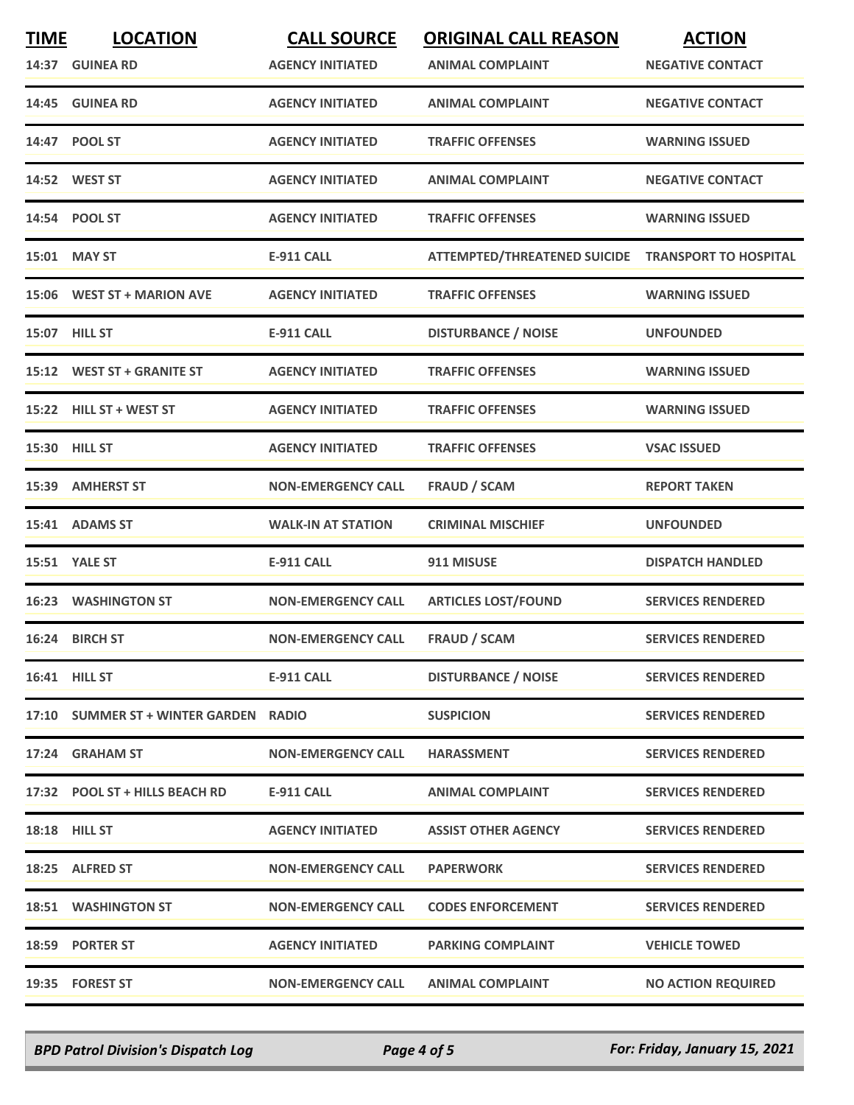| <b>TIME</b> | <b>LOCATION</b>                       | <b>CALL SOURCE</b>        | <b>ORIGINAL CALL REASON</b>                        | <b>ACTION</b>             |
|-------------|---------------------------------------|---------------------------|----------------------------------------------------|---------------------------|
|             | 14:37 GUINEA RD                       | <b>AGENCY INITIATED</b>   | <b>ANIMAL COMPLAINT</b>                            | <b>NEGATIVE CONTACT</b>   |
|             | 14:45 GUINEA RD                       | <b>AGENCY INITIATED</b>   | <b>ANIMAL COMPLAINT</b>                            | <b>NEGATIVE CONTACT</b>   |
|             | 14:47 POOL ST                         | <b>AGENCY INITIATED</b>   | <b>TRAFFIC OFFENSES</b>                            | <b>WARNING ISSUED</b>     |
|             | 14:52 WEST ST                         | <b>AGENCY INITIATED</b>   | <b>ANIMAL COMPLAINT</b>                            | <b>NEGATIVE CONTACT</b>   |
|             | 14:54 POOL ST                         | <b>AGENCY INITIATED</b>   | <b>TRAFFIC OFFENSES</b>                            | <b>WARNING ISSUED</b>     |
|             | 15:01 MAY ST                          | <b>E-911 CALL</b>         | ATTEMPTED/THREATENED SUICIDE TRANSPORT TO HOSPITAL |                           |
|             | 15:06 WEST ST + MARION AVE            | <b>AGENCY INITIATED</b>   | <b>TRAFFIC OFFENSES</b>                            | <b>WARNING ISSUED</b>     |
|             | <b>15:07 HILL ST</b>                  | <b>E-911 CALL</b>         | <b>DISTURBANCE / NOISE</b>                         | <b>UNFOUNDED</b>          |
|             | 15:12 WEST ST + GRANITE ST            | <b>AGENCY INITIATED</b>   | <b>TRAFFIC OFFENSES</b>                            | <b>WARNING ISSUED</b>     |
|             | 15:22 HILL ST + WEST ST               | <b>AGENCY INITIATED</b>   | <b>TRAFFIC OFFENSES</b>                            | <b>WARNING ISSUED</b>     |
|             | 15:30 HILL ST                         | <b>AGENCY INITIATED</b>   | <b>TRAFFIC OFFENSES</b>                            | <b>VSAC ISSUED</b>        |
|             | 15:39 AMHERST ST                      | <b>NON-EMERGENCY CALL</b> | <b>FRAUD / SCAM</b>                                | <b>REPORT TAKEN</b>       |
|             | 15:41 ADAMS ST                        | <b>WALK-IN AT STATION</b> | <b>CRIMINAL MISCHIEF</b>                           | <b>UNFOUNDED</b>          |
|             | 15:51 YALE ST                         | <b>E-911 CALL</b>         | 911 MISUSE                                         | <b>DISPATCH HANDLED</b>   |
|             | <b>16:23 WASHINGTON ST</b>            | <b>NON-EMERGENCY CALL</b> | <b>ARTICLES LOST/FOUND</b>                         | <b>SERVICES RENDERED</b>  |
|             | 16:24 BIRCH ST                        | <b>NON-EMERGENCY CALL</b> | <b>FRAUD / SCAM</b>                                | <b>SERVICES RENDERED</b>  |
|             | 16:41 HILL ST                         | <b>E-911 CALL</b>         | <b>DISTURBANCE / NOISE</b>                         | <b>SERVICES RENDERED</b>  |
|             | 17:10 SUMMER ST + WINTER GARDEN RADIO |                           | <b>SUSPICION</b>                                   | <b>SERVICES RENDERED</b>  |
|             | 17:24 GRAHAM ST                       | <b>NON-EMERGENCY CALL</b> | <b>HARASSMENT</b>                                  | <b>SERVICES RENDERED</b>  |
|             | 17:32 POOL ST + HILLS BEACH RD        | E-911 CALL                | <b>ANIMAL COMPLAINT</b>                            | <b>SERVICES RENDERED</b>  |
|             | <b>18:18 HILL ST</b>                  | <b>AGENCY INITIATED</b>   | <b>ASSIST OTHER AGENCY</b>                         | <b>SERVICES RENDERED</b>  |
|             | 18:25 ALFRED ST                       | <b>NON-EMERGENCY CALL</b> | <b>PAPERWORK</b>                                   | <b>SERVICES RENDERED</b>  |
|             | <b>18:51 WASHINGTON ST</b>            | <b>NON-EMERGENCY CALL</b> | <b>CODES ENFORCEMENT</b>                           | <b>SERVICES RENDERED</b>  |
|             | 18:59 PORTER ST                       | <b>AGENCY INITIATED</b>   | <b>PARKING COMPLAINT</b>                           | <b>VEHICLE TOWED</b>      |
|             | 19:35 FOREST ST                       | <b>NON-EMERGENCY CALL</b> | <b>ANIMAL COMPLAINT</b>                            | <b>NO ACTION REQUIRED</b> |

*BPD Patrol Division's Dispatch Log Page 4 of 5 For: Friday, January 15, 2021*